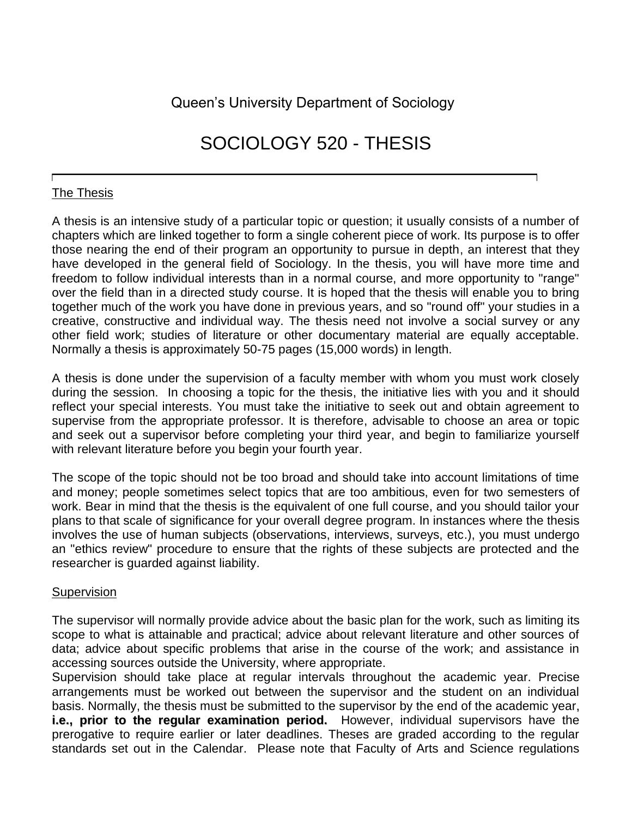Queen's University Department of Sociology

# SOCIOLOGY 520 - THESIS

## The Thesis

A thesis is an intensive study of a particular topic or question; it usually consists of a number of chapters which are linked together to form a single coherent piece of work. Its purpose is to offer those nearing the end of their program an opportunity to pursue in depth, an interest that they have developed in the general field of Sociology. In the thesis, you will have more time and freedom to follow individual interests than in a normal course, and more opportunity to "range" over the field than in a directed study course. It is hoped that the thesis will enable you to bring together much of the work you have done in previous years, and so "round off" your studies in a creative, constructive and individual way. The thesis need not involve a social survey or any other field work; studies of literature or other documentary material are equally acceptable. Normally a thesis is approximately 50-75 pages (15,000 words) in length.

A thesis is done under the supervision of a faculty member with whom you must work closely during the session. In choosing a topic for the thesis, the initiative lies with you and it should reflect your special interests. You must take the initiative to seek out and obtain agreement to supervise from the appropriate professor. It is therefore, advisable to choose an area or topic and seek out a supervisor before completing your third year, and begin to familiarize yourself with relevant literature before you begin your fourth year.

The scope of the topic should not be too broad and should take into account limitations of time and money; people sometimes select topics that are too ambitious, even for two semesters of work. Bear in mind that the thesis is the equivalent of one full course, and you should tailor your plans to that scale of significance for your overall degree program. In instances where the thesis involves the use of human subjects (observations, interviews, surveys, etc.), you must undergo an "ethics review" procedure to ensure that the rights of these subjects are protected and the researcher is guarded against liability.

#### **Supervision**

The supervisor will normally provide advice about the basic plan for the work, such as limiting its scope to what is attainable and practical; advice about relevant literature and other sources of data; advice about specific problems that arise in the course of the work; and assistance in accessing sources outside the University, where appropriate.

Supervision should take place at regular intervals throughout the academic year. Precise arrangements must be worked out between the supervisor and the student on an individual basis. Normally, the thesis must be submitted to the supervisor by the end of the academic year, **i.e., prior to the regular examination period.** However, individual supervisors have the prerogative to require earlier or later deadlines. Theses are graded according to the regular standards set out in the Calendar. Please note that Faculty of Arts and Science regulations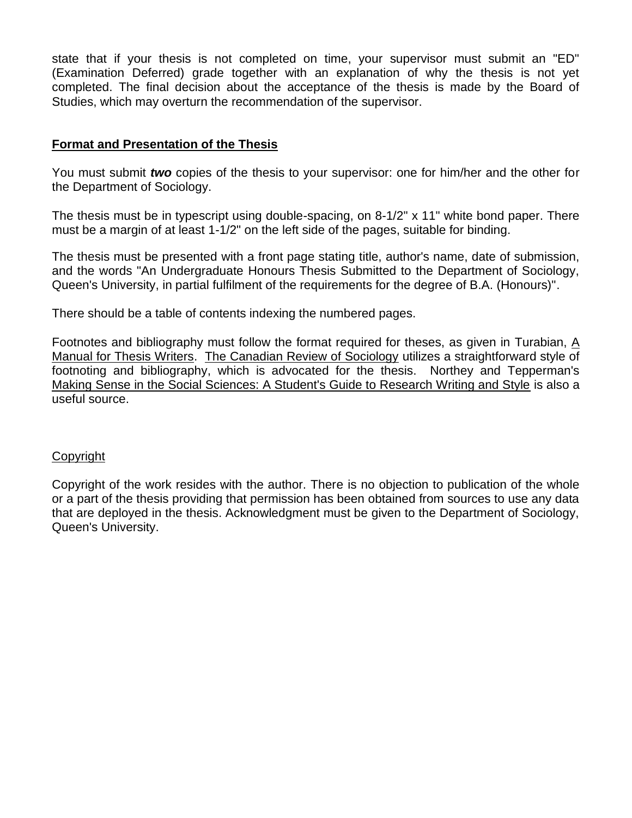state that if your thesis is not completed on time, your supervisor must submit an "ED" (Examination Deferred) grade together with an explanation of why the thesis is not yet completed. The final decision about the acceptance of the thesis is made by the Board of Studies, which may overturn the recommendation of the supervisor.

## **Format and Presentation of the Thesis**

You must submit *two* copies of the thesis to your supervisor: one for him/her and the other for the Department of Sociology.

The thesis must be in typescript using double-spacing, on 8-1/2" x 11" white bond paper. There must be a margin of at least 1-1/2" on the left side of the pages, suitable for binding.

The thesis must be presented with a front page stating title, author's name, date of submission, and the words "An Undergraduate Honours Thesis Submitted to the Department of Sociology, Queen's University, in partial fulfilment of the requirements for the degree of B.A. (Honours)".

There should be a table of contents indexing the numbered pages.

Footnotes and bibliography must follow the format required for theses, as given in Turabian, A Manual for Thesis Writers. The Canadian Review of Sociology utilizes a straightforward style of footnoting and bibliography, which is advocated for the thesis. Northey and Tepperman's Making Sense in the Social Sciences: A Student's Guide to Research Writing and Style is also a useful source.

#### Copyright

Copyright of the work resides with the author. There is no objection to publication of the whole or a part of the thesis providing that permission has been obtained from sources to use any data that are deployed in the thesis. Acknowledgment must be given to the Department of Sociology, Queen's University.